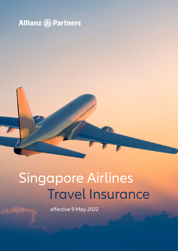## **Allianz (II) Partners**

## Travel Insurance Singapore Airlines

A STATE AND DRIVING

effective 9 May 2022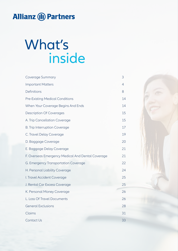## **Allianz (II) Partners**

## What's inside

| 3  |
|----|
| 4  |
| 8  |
| 14 |
| 14 |
| 15 |
| 15 |
| 17 |
| 19 |
| 20 |
| 21 |
| 21 |
| 22 |
| 24 |
| 25 |
| 25 |
| 26 |
| 26 |
| 28 |
| 31 |
| 33 |
|    |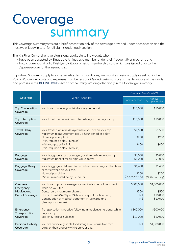## Coverage summary

This Coverage Summary sets out a brief description only of the coverage provided under each section and the most *we* will pay in total for all claims under each section.

The KrisFlyer Comprehensive plan is only available to individuals who:

- have been accepted by Singapore Airlines as a member under their frequent flyer program; and
- hold a current and valid KrisFlyer digital or physical membership card which was issued prior to the *departure date* for the insured *trip*.

Important: Sub-limits apply to some benefits. Terms, conditions, limits and exclusions apply as set out in the Policy Wording. All costs and expenses must be *reasonable and customary costs*. The definitions of the words and phrases in the **DEFINITIONS** section of the Policy Wording also apply in this Coverage Summary.

|                                       |                                                                                                                 | Maximum Benefit in NZ\$  |                            |
|---------------------------------------|-----------------------------------------------------------------------------------------------------------------|--------------------------|----------------------------|
| Coverage                              | When It Applies                                                                                                 | Comprehensive            | KrisFlyer<br>Comprehensive |
| <b>Trip Cancellation</b><br>Coverage  | You have to cancel your trip before you depart.                                                                 | \$10,000                 | \$10,000                   |
| Trip Interruption<br>Coverage         | Your travel plans are interrupted while you are on your trip.                                                   | \$10,000                 | \$10,000                   |
| <b>Travel Delay</b><br>Coverage       | Your travel plans are delayed while you are on your trip.<br>Maximum reimbursement per 24-hour period of delay: | \$1,500                  | \$1,500                    |
|                                       | No receipts daily limit:<br>(Min. required delay - 6 hours)                                                     | \$200                    | \$200                      |
|                                       | With receipts daily limit:<br>(Min. required delay - 6 hours)                                                   | \$400                    | \$400                      |
| Baggage<br>Coverage                   | Your baggage is lost, damaged, or stolen while on your trip.<br>Maximum benefit for all high value items:       | \$4,000<br>\$1,000       | \$5,000<br>\$1,000         |
| Baggage Delay<br>Coverage             | Your baggage is delayed by an airline, cruise line, or other trav-<br>el carrier while on your trip.            | \$1,400                  | \$1,400                    |
|                                       | No receipts sublimit:<br>Minimum required delay - 6 hours                                                       | \$200<br>(Outbound only) | \$200<br>(Outbound only)   |
| Overseas<br>Emergency                 | You have to pay for emergency medical or dental treatment<br>while on your trip.                                | \$500,000                | \$1,000,000                |
| Medical and<br><b>Dental Coverage</b> | Dental care maximum sublimit:<br>Hospital cash (\$200 per 24 hours hospital confinement)                        | \$500<br>Nil             | \$500<br>\$10,000          |
|                                       | Continuation of medical treatment in New Zealand<br>(14 days maximum)                                           | Nil                      | \$10,000                   |
| Emergency<br>Transportation           | Transportation is needed following a medical emergency while<br>on your trip.                                   | \$300,000                | \$500,000                  |
| Coverage                              | Search & Rescue sublimit:                                                                                       | \$10,000                 | \$10,000                   |
| <b>Personal Liability</b><br>Coverage | You are financially liable for damage you cause to a third<br>party or their property while on your trip.       | Nil                      | \$1,000,000                |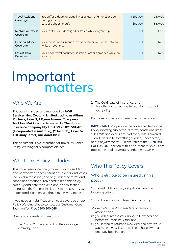| <b>Travel Accident</b><br>Coverage   | You suffer a death or disability as a result of a travel accident<br>during your trip.<br>Loss of sight or limb(s): | \$150,000<br>\$50,000 | \$150,000<br>\$50,000 |
|--------------------------------------|---------------------------------------------------------------------------------------------------------------------|-----------------------|-----------------------|
| <b>Rental Car Excess</b><br>Coverage | Your rental car is damaged or stolen while on your trip.                                                            | Nil                   | \$750                 |
| <b>Personal Money</b><br>Coverage    | Your means of payment is lost or stolen or your cash is stolen<br>while on your trip.                               | Nil                   | \$650                 |
| Loss of Travel<br>Documents          | Your ID or travel document is stolen, lost or damaged while on<br>your trip.                                        | Nil                   | \$650                 |

# Important matters

### Who We Are

This *policy* is issued and managed by **AWP Services New Zealand Limited trading as Allianz Partners, Level 3, 1 Byron Avenue, Takapuna, Auckland 0622** and underwritten by **The Hollard Insurance Company Pty Ltd ABN 78 090 584 473 (Incorporated in Australia), ("Hollard"), Level 26, 188 Quay Street, Auckland 1010**.

This document is *our* International Travel Insurance Policy Wording for Singapore Airlines.

## What This Policy Includes

This travel insurance *policy* covers only the sudden and unexpected specific situations, events, and losses included in this *policy*, and only under the terms and conditions described. *You* need to read this *policy* carefully and note the exclusions in each section along with the General Exclusions to make sure *you* understand it and ensure that it meets *your* needs.

If *you* need any clarification on *your* coverage or *our* Policy Wording please contact *our* Customer Care Team on Toll Free **0800 800 048**.

*Your policy* consists of three parts:

1. The Policy Wording (including the Coverage Summary); and

- 2. The Certificate of Insurance; and
- 3. Any other document *we* tell *you* forms part of *your policy*.

Please retain these documents in a safe place.

**IMPORTANT:** *We* provide the cover specified in this Policy Wording subject to its terms, conditions, limits, sub-limits and exclusions. Not every loss is covered, even if it is due to something sudden, unexpected, or out of *your* control. Please refer to the **GENERAL EXCLUSIONS** section of this document for exclusions applicable to all coverages under *your policy*.

## Who This Policy Covers

#### Who is eligible to be insured on this policy?

*You* are eligible for this *policy* if *you* meet the following criteria.

*You* ordinarily reside in New Zealand and *you*:

- a) are a *New Zealand resident* or *temporary resident*; and
- b) *you* will purchase *your policy* in New Zealand before *you* start *your trip*; and
- c) *you* intend to return to New Zealand after *your trip*, even if *your* insurance is purchased with a one-way booking; and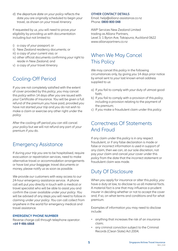d) the *departure date* on *your policy* reflects the date *you* are originally scheduled to begin *your* travel, as shown on *your* travel itinerary.

If requested by *us*, *you* will need to prove *your* eligibility by providing *us* with documentation including but not limited to:

- i) a copy of *your* passport; or
- ii) New Zealand residency documents; or
- iii) a copy of *your* current visa; or
- iv) other official documents confirming *your* right to reside in New Zealand; and
- v) a copy of *your* travel itinerary.

## Cooling-Off Period

If *you* are not completely satisfied with the extent of cover provided by this *policy*, *you* may cancel this *policy* within 14 days after *you* are issued with *your* Certificate of Insurance. *You* will be given a full refund of the premium *you* have paid, provided *you* have not started *your trip* and *you* do not wish to make a claim or exercise any other right under the *policy*.

After the cooling-off period *you* can still cancel *your policy* but *we* will not refund any part of *your* premium if *you* do.

### Emergency Assistance

If during *your trip you* are to be hospitalised, require evacuation or repatriation services, need to make alternative travel or *accommodation* arrangements or have lost *your baggage*, travel documents or money, please notify *us* as soon as possible.

*We* provide *our* customers with easy access to *our* 24-hour emergency assistance service. A phone call will put *you* directly in touch with a medical or travel specialist who will be able to assist *you* and confirm the cover available under *your policy*. *You* will be advised of any steps *you* will need to follow in claiming under *your policy*. *You* can call collect from anywhere in the world for emergency medical and travel assistance.

#### **EMERGENCY PHONE NUMBER**

Reverse charge call through telephone operator: **+64 9 486 6868**

#### **OTHER CONTACT DETAILS**

Email: help@allianz-assistance.co.nz Phone: **0800 800 048**

AWP Services New Zealand Limited trading as Allianz Partners, Level 3, 1 Byron Ave, Takapuna, Auckland 0622 www.allianzpartners.co.nz

## When We May Cancel This Policy

*We* may cancel this *policy* in the following circumstances only, by giving *you* 14 days prior notice by email sent to *your* last known email address supplied to *us*:

- a) If *you* fail to comply with *your* duty of utmost good faith;
- b) If *you* fail to comply with a provision of this *policy*, including a provision relating to the payment of the premium;
- c) If *you* make a fraudulent claim under this *policy*.

### Correctness Of Statements And Fraud

If any claim under this *policy* is in any respect fraudulent, or if any false declaration is made or false or incorrect information is used in support of any claim, then *we* can, at *our* sole discretion, not pay *your* claim and cancel *your* cover under this *policy* from the date that the incorrect statement or fraudulent claim was made.

## Duty Of Disclosure

When *you* apply for insurance or alter this *policy*, *you* have a duty at law, to disclose to *us* all material facts. A material fact is one that may influence a prudent insurer in deciding whether or not to accept the cover and, if so, on what terms and conditions and for what premium.

Examples of information *you* may need to disclose include:

- anything that increases the risk of an insurance claim;
- any criminal conviction subject to the Criminal Records (Clean Slate) Act 2004;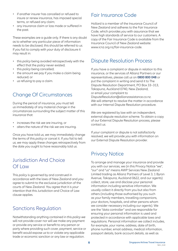- if another insurer has cancelled or refused to insure or renew insurance, has imposed special terms, or refused any claim;
- any insurance claim or loss made or suffered in the past.

These examples are a guide only. If there is any doubt as to whether any particular piece of information needs to be disclosed, this should be referred to *us*. If *you* fail to comply with *your* duty of disclosure it may result in:

- this *policy* being avoided retrospectively with the effect that the *policy* never existed;
- this *policy* being cancelled;
- the amount *we* pay if *you* make a claim being reduced; or
- *us* refusing to pay a claim.

## Change Of Circumstances

During the period of insurance, *you* must tell *us* immediately of any material change in the circumstances surrounding the subject matter of this insurance that:

- increases the risk *we* are insuring, or
- alters the nature of the risk *we* are insuring.

Once *you* have told *us*, *we* may immediately change the terms of this *policy* or cancel it. If *you* fail to tell *us*, *we* may apply these changes retrospectively from the date *you* ought to have reasonably told *us*.

## Jurisdiction And Choice Of Law

This *policy* is governed by and construed in accordance with the laws of New Zealand and *you* agree to submit to the exclusive jurisdiction of the courts of New Zealand. *You* agree that it is *your* intention that this Jurisdiction and Choice of Law clause applies.

### Sanctions Regulation

Notwithstanding anything contained in this *policy we* will not provide cover nor will *we* make any payment or provide any service or benefit to any person or party where providing such cover, payment, service or benefit would expose *us* to or violate any applicable trade or economic sanction or any law or regulation.

### Fair Insurance Code

Hollard is a member of the Insurance Council of New Zealand and adheres to the Fair Insurance Code, which provides *you* with assurance that *we* have high standards of service to our customers. A copy of the Fair Insurance Code is available from the Insurance Council of New Zealand website: www.icnz.org.nz/fair-insurance-code.

### Dispute Resolution Process

If *you* have a complaint or dispute in relation to this insurance, or the services of Allianz Partners or *our* representatives, please call *us* on **0800 800 048** or put the complaint in writing and send it to The Dispute Resolution Department, PO Box 33–313, Takapuna, Auckland 0740, New Zealand, or email *your* complaint to DisputeResolution@allianzassistance.co.nz. *We* will attempt to resolve the matter in accordance with *our* Internal Dispute Resolution procedure.

*We* are registered by law with an independent, external dispute resolution scheme. To obtain a copy of *our* External Dispute Resolution process, please contact *us*.

If *your* complaint or dispute is not satisfactorily resolved, *we* will provide *you* with information on *our* External Dispute Resolution provider.

## Privacy Notice

To arrange and manage your insurance and provide you with our services, we (in this Privacy Notice "we", "our" and "us" means AWP Services New Zealand Limited trading as Allianz Partners of Level 3, 1 Byron Avenue, Takapuna, Auckland 0622, and our agents) collect, store, use and disclose your personal information including sensitive information. We usually collect it directly from you but also from others (including those authorised by you such as your family members, travelling companions, your doctors, hospitals, and other persons whom we consider necessary including our agents). We are the "data controller" and are responsible for ensuring your personal information is used and protected in accordance with applicable laws and regulations. Personal information we collect includes, for example, your name, address, date of birth, phone number, email address, medical information, passport details, bank account details, as well as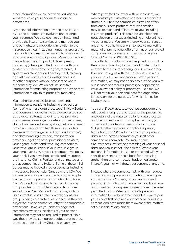other information we collect when you visit our website such as your IP address and online preferences.

Any personal information provided to us is used by us and our agents to evaluate and arrange your insurance. We also use it to administer and provide the insurance services and manage your and our rights and obligations in relation to the insurance services, including managing, processing, investigating claims and screening to comply with economic sanctions obligations. We may also collect, use and disclose it for product development, marketing (where permitted by law or with your consent), customer data analytics, research, IT systems maintenance and development, recovery against third parties, fraud investigations and for other purposes with your consent or where authorised by law. We do not use sensitive information for marketing purposes or provide that information to any third parties for marketing.

You authorise us to disclose your personal information to recipients including third parties (some of whom are data processors) in New Zealand and overseas involved in the above processes, such as travel consultants, travel insurance providers and intermediaries, agents, distributors, reinsurers, claims handlers and investigators, cost containment providers, medical and health service providers, overseas data storage (including "cloud storage") and data handling providers, transportation providers, legal and other professional advisers, your agents, broker and travelling companions, your travel group leader if you travel in a group, your employer if you have a corporate travel policy, your bank if you have bank credit card insurance, the Insurance Claims Register and our related and group companies and Hollard. Some of these third parties may be located in other countries including in Australia, Europe, Asia, Canada or the USA. We will use reasonable endeavours to ensure people we disclose your personal information to outside New Zealand are required to protect it in a way that provides comparable safeguards to those set out under New Zealand privacy law, such as via contractual data protection obligations, our group binding corporate rules or because they are subject to laws of another country with comparable protections. However, you acknowledge that sometimes overseas recipients of your personal information may not be required to protect it in a way that provides comparable safeguards to those provided under the New Zealand privacy law.

Where permitted by law or with your consent, we may contact you with offers of products or services (from us, our related companies, as well as offers from our business partners) that we consider may be relevant and of interest to you (including insurance products). This could be via telephone, post, electronic messages (including email) online or via other means. You can withdraw your consent at any time if you no longer wish to receive marketing material or promotional offers from us or our related companies and business partners by calling our Contact Centre on 0800 800 048. The collection of information is required pursuant to the common law duty to disclose all material facts relevant to the insurance sought and is mandatory. If you do not agree with the matters set out in our privacy notice or will not provide us with personal information, we may not be able to provide you with

our services or products, process your application, issue you with a policy or process your claims. We will not retain your personal data for longer than is necessary for the purposes for which it may be lawfully used.

You can: (1) seek access to your personal data and ask about its origin, the purposes of the processing, and details of the data controller or data processor and the parties to whom it may be disclosed; (2) correct and update your personal information (subject to the provisions of applicable privacy legislation), and (3) ask for a copy of your personal data in an electronic format for yourself or for someone you nominate. You may in some circumstances restrict the processing of your personal data, and request that it be deleted. Where your personal information is used or processed with your specific consent as the sole basis for processing (rather than on a contractual basis or legitimate interest), you may withdraw your consent at any time.

In cases where we cannot comply with your request concerning your personal information, we will give you reasons why. You may not access or correct personal information of others unless you have been authorised by their express consent or are otherwise permitted by law. When you provide personal information to us about other individuals, we rely on you to have first obtained each of those individuals' consent, and have made them aware of the matters set out in this Privacy Notice.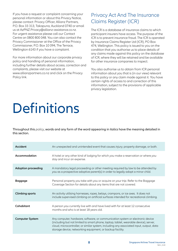If you have a request or complaint concerning your personal information or about this Privacy Notice, please contact: Privacy Officer, Allianz Partners, P.O. Box 33 313, Takapuna, Auckland 0740 or email us at AzPNZ.Privacy@allianz-assistance.co.nz. For urgent assistance please call our Contact Centre on 0800 800 048. You can also contact the Privacy Commissioner at the Office of the Privacy Commissioner, P.O. Box 10 094, The Terrace, Wellington 6143 if you have a complaint.

For more information about our corporate privacy policy and handling of personal information, including further details about access, correction and complaints, please visit our website at www.allianzpartners.co.nz and click on the Privacy Policy link.

## Privacy Act And The Insurance Claims Register (ICR)

The ICR is a database of insurance claims to which participant insurers have access. The purpose of the ICR is to prevent insurance fraud. The ICR is operated by Insurance Claims Register Ltd (ICR), PO Box 474, Wellington. This policy is issued to you on the condition that you authorise us to place details of any claims made against this policy on the database of ICR, where they will be retained and be available for other insurance companies to inspect.

You also authorise us to obtain from ICR personal information about you that is (in our view) relevant to this policy or any claim made against it. You have certain rights of access to and correction of this information, subject to the provisions of applicable privacy legislation.

## **Definitions**

Throughout this *policy*, words and any form of the word appearing in italics have the meaning detailed in this section.

| Accident                   | An unexpected and unintended event that causes injury, property damage, or both.                                                                                                                                                                                                                                               |
|----------------------------|--------------------------------------------------------------------------------------------------------------------------------------------------------------------------------------------------------------------------------------------------------------------------------------------------------------------------------|
| Accommodation              | A hotel or any other kind of lodging for which you make a reservation or where you<br>stay and incur an expense.                                                                                                                                                                                                               |
| <b>Adoption proceeding</b> | A mandatory legal proceeding or other meeting required by law to be attended by<br>you as a prospective adoptive parent(s) in order to legally adopt a minor child.                                                                                                                                                            |
| Baggage                    | Personal property you take with you or acquire on your trip. Refer to the Baggage<br>Coverage Section for details about any items that are not covered.                                                                                                                                                                        |
| <b>Climbing sports</b>     | An activity utilising harnesses, ropes, belays, crampons, or ice axes. It does not<br>include supervised climbing on artificial surfaces intended for recreational climbing.                                                                                                                                                   |
| Cohabitant                 | A person you currently live with and have lived with for at least 12 consecutive<br>months and who is at least 18 years old.                                                                                                                                                                                                   |
| <b>Computer System</b>     | Any computer, hardware, software, or communication system or electronic device<br>(including but not limited to smart phone, laptop, tablet, wearable device), server,<br>cloud, microcontroller, or similar system, including any associated input, output, data<br>storage device, networking equipment, or backup facility. |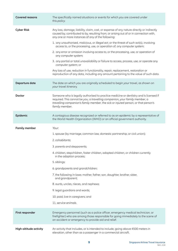| <b>Covered reasons</b> | The specifically named situations or events for which you are covered under<br>this policy.                                                                                                                                                                                   |
|------------------------|-------------------------------------------------------------------------------------------------------------------------------------------------------------------------------------------------------------------------------------------------------------------------------|
| <b>Cyber Risk</b>      | Any loss, damage, liability, claim, cost, or expense of any nature directly or indirectly<br>caused by, contributed to by, resulting from, or arising out of or in connection with,<br>any one or more instances of any of the following:                                     |
|                        | 1. any unauthorised, malicious, or illegal act, or the threat of such act(s), involving<br>access to, or the processing, use, or operation of, any computer system;                                                                                                           |
|                        | 2. any error or omission involving access to, or the processing, use, or operation of<br>any computer system;                                                                                                                                                                 |
|                        | 3. any partial or total unavailability or failure to access, process, use, or operate any<br>computer system; or                                                                                                                                                              |
|                        | Any loss of use, reduction in functionality, repair, replacement, restoration or<br>reproduction of any data, including any amount pertaining to the value of such data.                                                                                                      |
| Departure date         | The date on which you are originally scheduled to begin your travel, as shown on<br>your travel itinerary.                                                                                                                                                                    |
| Doctor                 | Someone who is legally authorised to practice medicine or dentistry and is licensed if<br>required. This cannot be you, a travelling companion, your family member, a<br>travelling companion's family member, the sick or injured person, or that person's<br>family member. |
| Epidemic               | A contagious disease recognized or referred to as an epidemic by a representative of<br>the World Health Organization (WHO) or an official government authority.                                                                                                              |
|                        |                                                                                                                                                                                                                                                                               |
| <b>Family member</b>   | Your:                                                                                                                                                                                                                                                                         |
|                        | 1. spouse (by marriage, common law, domestic partnership, or civil union);                                                                                                                                                                                                    |
|                        | 2. cohabitants;                                                                                                                                                                                                                                                               |
|                        | 3. parents and stepparents;                                                                                                                                                                                                                                                   |
|                        | 4. children, stepchildren, foster children, adopted children, or children currently<br>in the adoption process;                                                                                                                                                               |
|                        | 5. siblings;                                                                                                                                                                                                                                                                  |
|                        | 6. grandparents and grandchildren;                                                                                                                                                                                                                                            |
|                        | 7. the following in-laws: mother, father, son, daughter, brother, sister,<br>and grandparent;                                                                                                                                                                                 |
|                        | 8. aunts, uncles, nieces, and nephews;                                                                                                                                                                                                                                        |
|                        | 9. legal guardians and wards;                                                                                                                                                                                                                                                 |
|                        | 10. paid, live-in caregivers; and                                                                                                                                                                                                                                             |
|                        | 11. service animals.                                                                                                                                                                                                                                                          |
| First responder        | Emergency personnel (such as a police officer, emergency medical technician, or<br>firefighter) who are among those responsible for going immediately to the scene of<br>an accident or emergency to provide aid and relief.                                                  |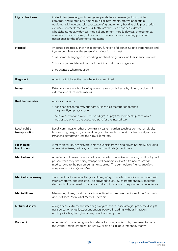| High value items               | Collectibles, jewellery, watches, gems, pearls, furs, cameras (including video<br>cameras) and related equipment, musical instruments, professional audio<br>equipment, binoculars, telescopes, sporting equipment, hearing aids, prescription<br>eyewear, contact lenses, artificial teeth, prosthetics, orthopaedic devices,<br>wheelchairs, mobility devices, medical equipment, mobile devices, smartphones,<br>computers, radios, drones, robots, , and other electronics, including parts and<br>accessories for the aforementioned items. |
|--------------------------------|--------------------------------------------------------------------------------------------------------------------------------------------------------------------------------------------------------------------------------------------------------------------------------------------------------------------------------------------------------------------------------------------------------------------------------------------------------------------------------------------------------------------------------------------------|
| Hospital                       | An acute care facility that has a primary function of diagnosing and treating sick and<br>injured people under the supervision of doctors. It must:<br>1. be primarily engaged in providing inpatient diagnostic and therapeutic services;<br>2. have organised departments of medicine and major surgery; and<br>3. be licensed where required.                                                                                                                                                                                                 |
| Illegal act                    | An act that violates the law where it is committed.                                                                                                                                                                                                                                                                                                                                                                                                                                                                                              |
| <b>Injury</b>                  | External or internal bodily injury caused solely and directly by violent, accidental,<br>external and discernible means.                                                                                                                                                                                                                                                                                                                                                                                                                         |
| KrisFlyer member               | An individual who:<br>• has been accepted by Singapore Airlines as a member under their<br>frequent flyer program; and<br>• holds a current and valid KrisFlyer digital or physical membership card which<br>was issued prior to the departure date for the insured trip.                                                                                                                                                                                                                                                                        |
| Local public<br>transportation | Local, commuter, or other urban transit system carriers (such as commuter rail, city<br>bus, subway, ferry, taxi, for-hire driver, or other such carriers) that transport you or a<br>travelling companion less than 150 kilometers.                                                                                                                                                                                                                                                                                                             |
| Mechanical<br>breakdown        | A mechanical issue, which prevents the vehicle from being driven normally, including<br>an electrical issue, flat tyre, or running out of fluids (except fuel).                                                                                                                                                                                                                                                                                                                                                                                  |
| <b>Medical escort</b>          | A professional person contracted by our medical team to accompany an ill or injured<br>person while they are being transported. A medical escort is trained to provide<br>medical care to the person being transported. This cannot be a friend, travelling<br>companion, or family member.                                                                                                                                                                                                                                                      |
| <b>Medically necessary</b>     | Treatment that is required for your illness, injury, or medical condition, consistent with<br>your symptoms, and can safely be provided to you. Such treatment must meet the<br>standards of good medical practice and is not for your or the provider's convenience.                                                                                                                                                                                                                                                                            |
| <b>Mental illness</b>          | Means any illness, condition or disorder listed in the current edition of the Diagnostic<br>and Statistical Manual of Mental Disorders.                                                                                                                                                                                                                                                                                                                                                                                                          |
| <b>Natural disaster</b>        | A large-scale extreme weather or geological event that damages property, disrupts<br>transportation or utilities, or endangers people, including without limitation:<br>earthquake, fire, flood, hurricane, or volcanic eruption.                                                                                                                                                                                                                                                                                                                |
| Pandemic                       | An epidemic that is recognised or referred to as a pandemic by a representative of<br>the World Health Organization (WHO) or an official government authority.                                                                                                                                                                                                                                                                                                                                                                                   |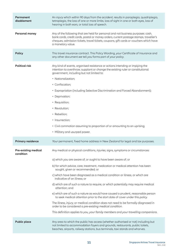| Permanent<br>disablement                 | An injury which within 90 days from the accident, results in paraplegia, quadriplegia,<br>tetraplegia, the loss of one or more limbs, loss of sight in one or both eyes, loss of<br>hearing in both ears, or total loss of speech.                                                                                                                                                                                                                                                                                                                                                                                                                                                                                                                                                                                                                                                                           |
|------------------------------------------|--------------------------------------------------------------------------------------------------------------------------------------------------------------------------------------------------------------------------------------------------------------------------------------------------------------------------------------------------------------------------------------------------------------------------------------------------------------------------------------------------------------------------------------------------------------------------------------------------------------------------------------------------------------------------------------------------------------------------------------------------------------------------------------------------------------------------------------------------------------------------------------------------------------|
| Personal money                           | Any of the following that are held for personal and not business purposes: cash,<br>bank cards, credit cards, postal or money orders, current postage stamps, traveller's<br>cheques, admission tickets, travel tickets, coupons, gift cards or vouchers which have<br>a monetary value.                                                                                                                                                                                                                                                                                                                                                                                                                                                                                                                                                                                                                     |
| Policy                                   | This travel insurance contract. This Policy Wording, your Certificate of Insurance and<br>any other document we tell you forms part of your policy.                                                                                                                                                                                                                                                                                                                                                                                                                                                                                                                                                                                                                                                                                                                                                          |
| <b>Political risk</b>                    | Any kind of events, organised resistance or actions intending or implying the<br>intention to overthrow, supplant or change the existing ruler or constitutional<br>government, including but not limited to:<br>• Nationalization;<br>• Confiscation;<br>• Expropriation (including Selective Discrimination and Forced Abandonment);<br>• Deprivation;<br>• Requisition;<br>• Revolution;<br>• Rebellion;<br>• Insurrection;<br>• Civil commotion assuming to proportion of or amounting to an uprising;<br>• Military and usurped power.                                                                                                                                                                                                                                                                                                                                                                  |
| <b>Primary residence</b>                 | Your permanent, fixed home address in New Zealand for legal and tax purposes.                                                                                                                                                                                                                                                                                                                                                                                                                                                                                                                                                                                                                                                                                                                                                                                                                                |
| <b>Pre-existing medical</b><br>condition | Any medical or physical conditions, injuries, signs, symptoms or circumstances:<br>a) which you are aware of, or ought to have been aware of; or<br>b) for which advice, care, treatment, medication or medical attention has been<br>sought, given or recommended; or<br>c) which have been diagnosed as a medical condition or illness, or which are<br>indicative of an illness; or<br>d) which are of such a nature to require, or which potentially may require medical<br>attention; and<br>e) which are of such a nature as would have caused a prudent, reasonable person<br>to seek medical attention prior to the start date of cover under this policy.<br>The illness, injury, or medical condition does not need to be formally diagnosed in<br>order to be considered a pre-existing medical condition.<br>This definition applies to you, your family members and your travelling companions. |
| <b>Public place</b>                      | Any area to which the public has access (whether authorised or not) including but<br>not limited to accommodation foyers and grounds, restaurants, public toilets,<br>beaches, airports, railway stations, bus terminals, taxi stands and wharves.                                                                                                                                                                                                                                                                                                                                                                                                                                                                                                                                                                                                                                                           |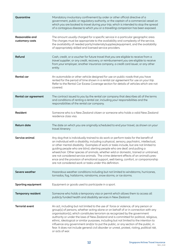| Quarantine                        | Mandatory involuntary confinement by order or other official directive of a<br>government, public or regulatory authority, or the captain of a commercial vessel on<br>which you are booked to travel during your trip, which is intended to stop the spread<br>of a contagious disease to which you or a travelling companion has been exposed.                                                                                                                                                                                                                                                                                                                                          |
|-----------------------------------|-------------------------------------------------------------------------------------------------------------------------------------------------------------------------------------------------------------------------------------------------------------------------------------------------------------------------------------------------------------------------------------------------------------------------------------------------------------------------------------------------------------------------------------------------------------------------------------------------------------------------------------------------------------------------------------------|
| Reasonable and<br>customary costs | The amount usually charged for a specific service in a particular geographic area.<br>The charges must be appropriate to the availability and complexity of the service,<br>the availability of needed parts/materials/supplies/equipment, and the availability<br>of appropriately skilled and licensed service providers.                                                                                                                                                                                                                                                                                                                                                               |
| Refund                            | Cash, credit, or a voucher for future travel that you are eligible to receive from a<br>travel supplier, or any credit, recovery, or reimbursement you are eligible to receive<br>from your employer, another insurance company, a credit card issuer, or any other<br>entity.                                                                                                                                                                                                                                                                                                                                                                                                            |
| <b>Rental</b> car                 | An automobile or other vehicle designed for use on public roads that you have<br>rented for the period of time shown in a rental car agreement for use on your trip.<br>Refer to the Rental Car Excess Coverage section for details of vehicles which are not<br>covered.                                                                                                                                                                                                                                                                                                                                                                                                                 |
| Rental car agreement              | The contract issued to you by the rental car company that describes all of the terms<br>and conditions of renting a rental car, including your responsibilities and the<br>responsibilities of the rental car company.                                                                                                                                                                                                                                                                                                                                                                                                                                                                    |
| Resident                          | Someone who is a New Zealand citizen or someone who holds a valid New Zealand<br>residence class visa.                                                                                                                                                                                                                                                                                                                                                                                                                                                                                                                                                                                    |
| <b>Return date</b>                | The date on which you are originally scheduled to end your travel, as shown on your<br>travel itinerary                                                                                                                                                                                                                                                                                                                                                                                                                                                                                                                                                                                   |
| Service animal                    | Any dog that is individually trained to do work or perform tasks for the benefit of<br>an individual with a disability, including a physical, sensory, psychiatric, intellectual,<br>or other mental disability. Examples of work or tasks include, but are not limited to<br>guiding people who are blind, alerting people who are deaf, and pulling a<br>wheelchair. Other species of animals, whether wild or domestic, trained or untrained,<br>are not considered service animals. The crime deterrent effects of an animal's pres-<br>ence and the provision of emotional support, well-being, comfort, or companionship<br>are not considered work or tasks under this definition. |
| Severe weather                    | Hazardous weather conditions including but not limited to windstorms, hurricanes,<br>tornados, fog, hailstorms, rainstorms, snow storms, or ice storms.                                                                                                                                                                                                                                                                                                                                                                                                                                                                                                                                   |
| <b>Sporting equipment</b>         | Equipment or goods used to participate in a sport.                                                                                                                                                                                                                                                                                                                                                                                                                                                                                                                                                                                                                                        |
| <b>Temporary resident</b>         | Someone who holds a temporary visa or permit which allows them to access all<br>publicly funded health and disability services in New Zealand.                                                                                                                                                                                                                                                                                                                                                                                                                                                                                                                                            |
| <b>Terrorist event</b>            | An act, including but not limited to the use of force or violence, of any person or<br>group(s) of persons, whether acting alone or on behalf of or in connection with any<br>organisation(s), which constitutes terrorism as recognized by the government<br>authority or under the laws of New Zealand and is committed for political, religious,<br>ethnic, ideological or similar purposes, including but not limited to the intention to<br>influence any government and/or to put the public, or any section of the public, in<br>fear. It does not include general civil disorder or unrest, protest, rioting, political risk,<br>or acts of war.                                  |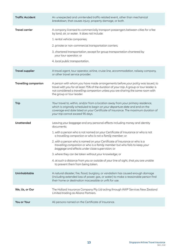| <b>Traffic Accident</b>     | An unexpected and unintended traffic-related event, other than mechanical<br>breakdown, that causes injury, property damage, or both.                                                                                                                                                                                                                                                                                                                                                                                                                                                                                                        |
|-----------------------------|----------------------------------------------------------------------------------------------------------------------------------------------------------------------------------------------------------------------------------------------------------------------------------------------------------------------------------------------------------------------------------------------------------------------------------------------------------------------------------------------------------------------------------------------------------------------------------------------------------------------------------------------|
| <b>Travel carrier</b>       | A company licensed to commercially transport passengers between cities for a fee<br>by land, air, or water. It does not include:<br>1. rental vehicle companies;<br>2. private or non-commercial transportation carriers;<br>3. chartered transportation, except for group transportation chartered by<br>your tour operator; or<br>4. local public transportation.                                                                                                                                                                                                                                                                          |
| <b>Travel supplier</b>      | A travel agent, tour operator, airline, cruise line, accommodation, railway company,<br>or other travel service provider.                                                                                                                                                                                                                                                                                                                                                                                                                                                                                                                    |
| <b>Travelling companion</b> | A person with whom you have made arrangements before your policy was issued, to<br>travel with you for at least 75% of the duration of your trip. A group or tour leader is<br>not considered a travelling companion unless you are sharing the same room with<br>the group or tour leader.                                                                                                                                                                                                                                                                                                                                                  |
| <b>Trip</b>                 | Your travel to, within, and/or from a location away from your primary residence,<br>which is originally scheduled to begin on your departure date and end on the<br>coverage end date listed on your Certificate of Insurance. The maximum duration of<br>your trip cannot exceed 90 days.                                                                                                                                                                                                                                                                                                                                                   |
| <b>Unattended</b>           | Leaving your baggage and any personal effects including money and identity<br>documents:<br>1. with a person who is not named on your Certificate of Insurance or who is not<br>a travelling companion or who is not a family member; or<br>2. with a person who is named on your Certificate of Insurance or who is a<br>travelling companion or who is a family member but who fails to keep your<br>baggage and effects under close supervision; or<br>3. where they can be taken without your knowledge; or<br>4. at such a distance from you or outside of your line of sight, that you are unable<br>to prevent them from being taken. |
| Uninhabitable               | A natural disaster, fire, flood, burglary, or vandalism has caused enough damage<br>(including extended loss of power, gas, or water) to make a reasonable person find<br>their home or destination inaccessible or unfit for use.                                                                                                                                                                                                                                                                                                                                                                                                           |
| We, Us, or Our              | The Hollard Insurance Company Pty Ltd acting through AWP Services New Zealand<br>Limited trading as Allianz Partners.                                                                                                                                                                                                                                                                                                                                                                                                                                                                                                                        |
| You or Your                 | All persons named on the Certificate of Insurance.                                                                                                                                                                                                                                                                                                                                                                                                                                                                                                                                                                                           |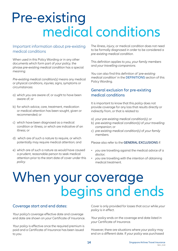## medical conditions Pre-existing

#### Important information about pre-existing medical conditions

When used in this Policy Wording or in any other documents which form part of *your policy*, the phrase *pre-existing medical condition* has a special meaning:

*Pre-existing medical condition(s)* means any medical or physical conditions, *injuries*, signs, symptoms or circumstances:

- a) which *you* are aware of, or ought to have been aware of; or
- b) for which advice, care, treatment, medication or medical attention has been sought, given or recommended; or
- c) which have been diagnosed as a medical condition or illness, or which are indicative of an illness; or
- d) which are of such a nature to require, or which potentially may require medical attention; and
- e) which are of such a nature as would have caused a prudent, reasonable person to seek medical attention prior to the start date of cover under this *policy*.

The illness, *injury*, or medical condition does not need to be formally diagnosed in order to be considered a *pre-existing medical condition*.

This definition applies to *you, your family members* and *your travelling companions*.

*You* can also find this definition of '*pre-existing medical condition*' in the DEFINITIONS section of this Policy Wording.

#### General exclusion for pre-existing medical conditions

It is important to know that this *policy* does not provide coverage for any loss that results directly or indirectly from, or that is related to:

- a) *your pre-existing medical condition(s)*; or
- b) *pre-existing medical condition(s)* of *your travelling companion*; or
- c) *pre-existing medical condition(s)* of *your family members*.

Please also refer to the **GENERAL EXCLUSIONS** if:

- *you* are travelling against the medical advice of a *doctor*;
- *you* are travelling with the intention of obtaining medical treatment.

## begins and ends When your coverage

#### Coverage start and end dates:

*Your policy's* coverage effective date and coverage end date are shown on *your* Certificate of Insurance.

*Your policy* is effective once the required premium is paid and a Certificate of Insurance has been issued to *you*.

Cover is only provided for losses that occur while *your policy* is in effect.

*Your policy* ends on the coverage end date listed in *your* Certificate of Insurance.

However, there are situations where *your policy* may end on a different date. If *your policy* was purchased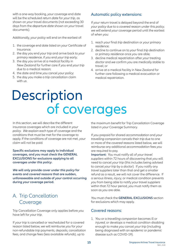with a one-way booking, *your* coverage end date will be the scheduled *return date* for *your trip*, as shown on *your* travel documents (not exceeding 30 days from the *departure date* shown on *your* travel documents).

Additionally, *your policy* will end on the earliest of:

- 1. the coverage end date listed on *your* Certificate of Insurance;
- 2. the day *you* end *your trip* and arrive back to *your primary residence*, if *you* end *your trip* early;
- 3. the day *you* arrive at a medical facility in New Zealand for further care if *you* end *your trip* due to a medical reason;
- 4. the date and time *you* cancel *your policy*;
- 5. the day *you* make a *trip* cancellation claim with *us*.

#### Automatic policy extensions:

If *your* return travel is delayed beyond the end of *your policy* due to a *covered reason* under this *policy*, *we will* extend *your* coverage period until the earliest of when *you*:

- 1. reach *your* final *trip* destination or *your primary residence*;
- 2. decline to continue on to *your* final *trip* destination or *primary residence* once *you* are able;
- 3. decline medical repatriation after *your* treating *doctor* and *we* confirm *you* are medically stable to travel; or
- 4. arrive at a medical facility in New Zealand for further care following a medical evacuation or medical repatriation.

## **Description** of coverages

In this section, *we* will describe the different insurance coverages which are included in *your policy*. *We* explain each type of coverage and the conditions that must be met for the coverage to apply. If the conditions of coverage are not met, *your* claim will not be paid.

**Specific exclusions may apply to individual coverages, and** *you* **must check the GENERAL EXCLUSIONS for exclusions applying to all coverages under** *this policy***.** 

*We* **will only provide cover under** *this policy* **for events and** *covered reasons* **that are sudden, unforeseeable and outside of** *your* **control occurring during** *your* **coverage period.** 

## A. Trip Cancellation Coverage

Trip Cancellation Coverage only applies before *you* have left for *your trip*.

If *your trip* is cancelled or rescheduled for a covered reason listed below, *we* will reimburse *you* for *your* non-refundable *trip* payments, deposits, cancellation fees, and change fees (less available *refunds*), up to

the maximum benefit for Trip Cancellation Coverage listed in *your* Coverage Summary.

If *you* prepaid for shared *accommodation* and *your travelling companion* cancels their *trip* due to one or more of the *covered reasons* listed below, *we* will reimburse any additional *accommodation* fees *you* are required to pay.

**Important:** *You* must notify all of *your travel suppliers* within 72 hours of discovering that *you* will need to cancel *your trip* (this includes being advised to cancel *your trip* by a *doctor*). If *you* notify any *travel suppliers* later than that and get a smaller refund as a result, *we* will not cover the difference. If a serious illness, *injury*, or medical condition prevents *you* from being able to notify *your travel suppliers* within that 72 hour period, *you* must notify them as soon as *you* are able.

*You* must check the **GENERAL EXCLUSIONS** section for exclusions which may apply.

#### Covered reasons:

1. *You* or a *travelling companion* becomes ill or *injured*, or develops a medical condition disabling enough to make *you* cancel *your trip* (including being diagnosed with an *epidemic* or *pandemic* disease such as COVID-19).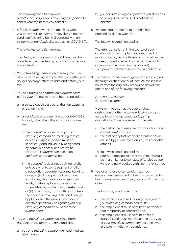The following condition applies:

A *doctor* advises *you* or a *travelling companion* to cancel *your trip* before *you* cancel it.

2. A *family member* who is not travelling with *you* becomes ill or *injured*, or develops a medical condition (including being diagnosed with an *epidemic* or *pandemic* disease such as COVID-19).

The following condition applies:

The illness, *injury*, or medical condition must be considered life threatening by a *doctor*, or require hospitalisation.

- 3. *You*, a *travelling companion* or *family member* who is not travelling with *you* dies on or after *your policy's* coverage effective date and before *your trip*.
- 4. *You* or a *travelling companion* is *quarantined* before *your trip* due to having been exposed to:
	- a. a contagious disease other than an *epidemic* or *pandemic*; or
	- b. an *epidemic* or *pandemic* (such as COVID-19), but only when the following conditions are met:
		- i. the *quarantine* is specific to *you* or a *travelling companion*, meaning that *you* or a *travelling companion* must be specifically and individually designated by name in an order or directive to be placed in *quarantine* due to an *epidemic* or *pandemic*; and
		- ii. the *quarantine* does not apply generally or broadly (a) to some segment or all of a population, geographical area, building, or vessel (including without limitation lockdowns, changes in government alert levels, shelter-in-place, stay-at-home, safer-at-home, or other similar restriction), or (b) based on to, from, or through where the person is travelling. This condition (ii) applies even if the *quarantine* order or directive specifically designates *you* or a *travelling companion* by name to be *quarantined*.
- 5. *You* or a *travelling companion* is in a *traffic accident* on the *departure date* and either:
	- a. *you* or a *travelling companion* need medical attention; or
- b. *your* or a *travelling companion's* vehicle needs to be repaired because it is not safe to operate.
- 6. *You* are legally required to attend a legal proceeding during *your trip*.

The following condition applies:

The attendance is not in the course of *your* occupation (for example, if *you* are attending in *your* capacity as an attorney, court clerk, expert witness, law enforcement officer, or other such occupation, this would not be covered).

- 7. *Your primary residence* becomes *uninhabitable*.
- 8. *Your travel carrier* cannot get *you* to *your* original itinerary's destination for at least 24 consecutive hours from the originally scheduled arrival time due to one of the following reasons:
	- A. a *natural disaster*;
	- B. *severe weather*.

However, if *you* can get to *your* original destination another way, *we* will reimburse *you* for the following, up to *your policy's* Trip Cancellation Coverage maximum benefit:

- i. the cost of the alternative transportation, less available *refunds*; and
- ii. the cost of any lost prepaid *accommodation* caused by *your* delayed arrival, less available *refunds*.

The following condition applies:

- a. Alternate transportation arrangements must be in a similar or lower class of service as *you* were originally booked with *your travel carrier*.
- 9. *You* or a *travelling companion* has had employment terminated or been made redundant by a current employer after *your policy's* purchase date.

The following conditions apply:

- a. the termination or redundancy is not *your* or *your travelling companion's* fault;
- b. the employment must have been permanent (not temporary or contract); and
- c. the employment must have been for at least 12 continuous months on the date *you* or *your travelling companion* became aware of the termination or redundancy.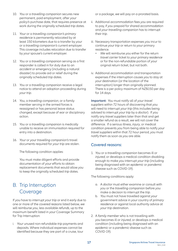- 10. *You* or a *travelling companion* secures new permanent, paid employment, after *your policy's* purchase date, that requires presence at work during the originally scheduled *trip* dates.
- 11. *Your* or a *travelling companion's primary residence* is permanently relocated by at least 150 kilometers due to a transfer by *your* or a *travelling companion's* current employer. This coverage includes relocation due to transfer by *your* spouse's current employer.
- 12. *You* or a *travelling companion* serving as a first responder is called in for duty due to an *accident* or emergency (including a natural disaster) to provide aid or relief during the originally scheduled *trip* dates.
- 13. *You* or a *travelling companion* receive a legal notice to attend an adoption proceeding during *your trip*.
- 14. *You*, a *travelling companion*, or a family member serving in the armed forces is reassigned or has personal leave status changed, except because of war or disciplinary action.
- 15. *You* or a *travelling companion* is medically unable to receive an immunisation required for entry into a destination.
- 16. *Your* or *your travelling companion's* travel documents required for *your trip* are stolen.

The following condition applies:

 *You* must make diligent efforts and provide documentation of *your* efforts to obtain replacement documents that would allow *you* to keep the originally scheduled *trip* dates.

## B. Trip Interruption Coverage

If *you* have to interrupt *your trip* or end it early due to one or more of the *covered reasons* listed below, *we* will reimburse *you*, less available *refunds*, up to the maximum benefit listed in *your* Coverage Summary for Trip Interruption:

i. *Your* unused non-refundable *trip* payments and deposits. Where individual expenses cannot be identified because they are part of a cruise, tour or a package, *we* will pay on a prorated basis.

- ii. Additional *accommodation* fees *you* are required to pay, if *you* prepaid for shared *accommodation* and *your travelling companion* has to interrupt their *trip*.
- iii. Necessary transportation expenses *you* incur to continue *your trip* or return to *your* primary residence.
	- We will reimburse you either for the return *travel carrier* ticket to *your primary residence* or for the non-refundable portion of *your* original return ticket, but not both.
- iv. Additional *accommodation* and transportation expenses if the interruption causes *you* to stay at *your* destination (or the location of the interruption) longer than originally planned. There is a per policy maximum of NZ\$150 per day for 14 days.

**Important:** *You* must notify all of *your travel suppliers* within 72 hours of discovering that *you* will need to interrupt *your trip* (this includes being advised to interrupt *your trip* by a *doctor*). If *you* notify any *travel suppliers* later than that and get a smaller refund as a result, *we* will not cover the difference. If a serious illness, *injury*, or medical condition prevents *you* from being able to notify *your travel suppliers* within that 72 hour period, *you* must notify them as soon as *you* are able.

#### Covered reasons:

1. *You* or a *travelling companion* becomes ill or *injured*, or develops a medical condition disabling enough to make *you* interrupt *your trip* (including being diagnosed with an *epidemic* or *pandemic* disease such as COVID-19).

The following conditions apply:

- a. A *doctor* must either examine or consult with *you* or the *travelling companion* before *you* make a decision to interrupt the *trip*.
- b. *You* must not have travelled against *your* government advice in *your* country of *primary residence* or against local authority advice at *your trip* destination.
- 2. A *family member* who is not travelling with *you* becomes ill or *injured*, or develops a medical condition (including being diagnosed with an *epidemic* or a *pandemic* disease such as COVID-19).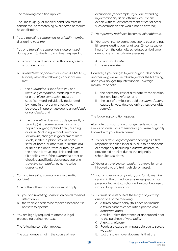The following condition applies:

The illness, *injury*, or medical condition must be considered life threatening by a *doctor*, or require hospitalisation.

- 3. *You*, a *travelling companion*, or a *family member* dies during *your trip*.
- 4. *You* or a *travelling companion* is *quarantined*  during *your trip* due to having been exposed to:
	- a. a contagious disease other than an *epidemic* or *pandemic*; or
	- b. an *epidemic* or *pandemic* (such as COVID-19), but only when the following conditions are met:
		- i. the *quarantine* is specific to *you* or a *travelling companion*, meaning that *you* or a *travelling companion* must be specifically and individually designated by name in an order or directive to be placed in *quarantine* due to an *epidemic* or *pandemic*; and
		- ii. the *quarantine* does not apply generally or broadly (a) to some segment or all of a population, geographical area, building, or vessel (including without limitation lockdowns, changes in government alert levels, shelter-in-place, stay-at-home, safer-at-home, or other similar restriction), or (b) based on to, from, or through where the person is travelling. This condition (ii) applies even if the *quarantine* order or directive specifically designates *you* or a *travelling companion* by name to be *quarantined*.
- 5. *You* or a *travelling companion* is in a *traffic accident*.

One of the following conditions must apply:

- a. *you* or a *travelling companion* needs medical attention; or
- b. the vehicle needs to be repaired because it is not safe to operate.
- 6. *You* are legally required to attend a legal proceeding during *your trip*.

The following condition applies:

The attendance is not in the course of *your*

occupation (for example, if *you* are attending in *your* capacity as an attorney, court clerk, expert witness, law enforcement officer or other such occupation, this would not be covered).

- 7. *Your primary residence* becomes *uninhabitable*.
- 8. *Your travel carrier* cannot get *you* to *your* original itinerary's destination for at least 24 consecutive hours from the originally scheduled arrival time due to one of the following reasons:
	- A. a *natural disaster*;
	- B. *severe weather*;

However, if *you* can get to *your* original destination another way, *we* will reimburse *you* for the following, up to *your policy's* Trip Interruption Coverage maximum benefit:

- i. the necessary cost of alternate transportation, less available *refunds*; and
- ii. the cost of any lost prepaid *accommodations* caused by *your* delayed arrival, less available *refunds*.

The following condition applies:

Alternate transportation arrangements must be in a similar or lower class of service as *you* were originally booked with *your travel carrier*.

- 9. *You* or a *travelling companion* serving as a first responder is called in for duty due to an *accident* or emergency (including a *natural disaster*) to provide aid or relief during the originally scheduled *trip* dates.
- 10.*You* or a *travelling companion* is a traveller on a hijacked aircraft, train, vehicle, or vessel.
- 11.*You*, a *travelling companion*, or a *family member* serving in the armed forces is reassigned or has personal leave status changed, except because of war or disciplinary action.
- 12.*You* miss at least 50% of the length of *your trip* due to one of the following:
	- A. A *travel carrier* delay (this does not include a *travel carrier*'s cancellation prior to *your departure date*);
	- B. A strike, unless threatened or announced prior to the purchase of *your policy*;
	- C. A *natural disaster*;
	- D. Roads are closed or impassable due to *severe weather*;
	- E. Lost or stolen travel documents that are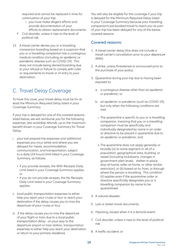required and cannot be replaced in time for continuation of *your trip*;

- i. *you* must make diligent efforts and provide documentation of *your* efforts to obtain replacement documents.
- F. Civil disorder, unless it rises to the level of *political risk*.
- 13. A *travel carrier* denies *you* or a travelling companion boarding based on a suspicion that *you* or a *travelling companion* has a contagious medical condition (including an *epidemic* or *pandemic* disease such as COVID-19). This does not include being denied boarding due to *your* refusal or failure to comply with rules or requirements to travel or of entry to *your* destination.

### C. Travel Delay Coverage

To have this cover, *your* travel delay must be for at least the Minimum Required Delay listed in *your* Coverage Summary.

If *your trip* is delayed for one of the *covered reasons* listed below, *we* will reimburse *you* for the following expenses, less available *refunds*, up to the maximum benefit shown in *your* Coverage Summary for Travel Delay:

- i. *your* lost prepaid *trip* expenses and additional expenses *you* incur while and where *you* are delayed for meals, *accommodation*, communication, and transportation, subject to a daily (24 hours) limit listed in *your* Coverage Summary, as follows:
	- if *you* provide receipts, the With Receipts Daily Limit listed in *your* Coverage Summary applies; or
	- if *you* do not provide receipts, the No Receipts Daily Limit listed in *your* Coverage Summary applies.
- ii. *local public transportation* expenses to either help *you* rejoin *your* cruise or tour or reach *your* destination if the delay causes *you* to miss the departure of *your* cruise or tour.
- iii. if the delay causes *you* to miss the departure of *your* flight or train due to a *local public transportation* delay on *your* way to the departure airport or train station, transportation expenses to either help *you* reach *your* destination or return to *your primary residence*.

*You* will also be eligible for this coverage if *your trip* is delayed for the Minimum Required Delay listed in *your* Coverage Summary because *your travelling companion's* pre-booked travel to reach *you* as part of *your trip* has been delayed for any of the below *covered reasons*.

#### Covered reasons:

- 1. A *travel carrier* delay (this does not include a *travel carrier*'s cancellation prior to *your departure date*);
- 2. A strike, unless threatened or announced prior to the purchase of *your policy*;
- 3. *Quarantine* during *your trip* due to having been exposed to:
	- a. a contagious disease other than an *epidemic* or *pandemic*; or
	- b. an *epidemic* or *pandemic* (such as COVID-19), but only when the following conditions are met:
		- i. The *quarantine* is specific to *you* or a *travelling companion*, meaning that *you* or a *travelling companion* must be specifically and individually designated by name in an order or directive to be placed in *quarantine* due to an *epidemic* or *pandemic*; and
		- ii. The *quarantine* does not apply generally or broadly (a) to some segment or all of a population, geographical area, building, or vessel (including lockdowns, changes in government alert levels, shelter-in-place, stay-at-home, safer-at-home, or other similar restriction), or (b) based on to, from, or through where the person is travelling. This condition (ii) applies even if the *quarantine* order or directive specifically designates *you* or a *travelling companion* by name to be *quarantined*.
- 4. A *natural disaster*;
- 5. Lost or stolen travel documents;
- 6. Hijacking, except when it is a *terrorist event*;
- 7. Civil disorder, unless it rises to the level of *political risk*;
- 8. A *traffic accident*; or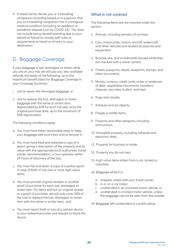9. A *travel carrier* denies *you* or a *travelling companion* boarding based on a suspicion that *you* or a *travelling companion* has a contagious medical condition (including an *epidemic* or *pandemic* disease such as COVID-19). This does not include being denied boarding due to *your* refusal or failure to comply with rules or requirements to travel or of entry to *your* destination.

### D. Baggage Coverage

If *your baggage* is lost, damaged, or stolen while *you* are on *your trip*, *we* will pay *you*, less available *refunds*, the lesser of the following, up to the maximum benefit listed for Baggage Coverage in *your* Coverage Summary:

- i. cost to repair the damaged *baggage*; or
- ii. cost to replace the lost, damaged, or stolen *baggage* with the same or similar item, depreciated by 10% for each full year since the original purchase date, up to the maximum of 50% depreciation.

The following conditions apply:

- a. *You* must have taken reasonable steps to keep *your baggage* safe and intact and to recover it;
- b. *You* must have filed and retained a copy of a report giving a description of the property and its value with the appropriate local authorities, *travel carrier*, *accommodation*, or tour operator within 24 hours of discovery of the loss;
- c. *You* must file and retain a copy of a police report in case of theft of any one or more *high-value items*;
- d. *You* must provide original receipts or another proof of purchase for each lost, damaged, or stolen item. For items without an original receipt or a proof of purchase, *we* will only cover 50% of the cost to replace the lost, damaged, or stolen item with the same or similar item; and
- e. *You* must report theft or loss of a cellular device to *your* network provider and request to block the device

#### What is not covered

The following items are not covered under this section:

- 1. Animals, including remains of animals;
- 2. Cars, motorcycles, motors, aircraft, watercraft, and other vehicles and related accessories and equipment;
- 3. Bicycles, skis, and snowboards (except while they are checked with a *travel carrier*);
- 4. Tickets, passports, deeds, blueprints, stamps, and other documents;
- 5. Money, currency, credit cards, notes or evidences of debt, negotiable instruments, travellers' cheques, securities, bullion, and keys;
- 6. Rugs and carpets;
- 7. Antiques and art objects;
- 8. Fragile or brittle items;
- 9. Firearms and other weapons, including ammunition;
- 10. Intangible property, including software and electronic data;
- 11. Property for business or trade;
- 12. Property *you* do not own;
- 13. High value items stolen from a car, locked or unlocked;
- 14. *Baggage* while it is:
	- a. shipped, unless with *your travel carrier*;
	- b. in or on a car trailer;
	- c. unattended in an unlocked motor vehicle; or
	- d. unattended in a locked motor vehicle, unless the *baggage* cannot be seen from the outside;
- 19. *Baggage* left unattended in a public place.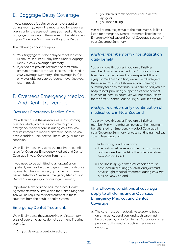## E. Baggage Delay Coverage

If *your baggage* is delayed by a travel supplier during *your trip*, *we* will reimburse *you* for expenses *you* incur for the essential items *you* need until *your baggage* arrives, up to the maximum benefit shown in *your* Coverage Summary for Baggage Delay.

The following conditions apply:

- a. *Your baggage* must be delayed for at least the Minimum Required Delay listed under Baggage Delay in *your* Coverage Summary.
- b. If *you* do not provide receipts, the maximum amount payable is the No Receipts Limit listed in *your* Coverage Summary. The coverage in b) is only available for *your* outbound travel (not *your* return travel).

## F. Overseas Emergency Medical And Dental Coverage

#### Overseas Emergency Medical Care:

*We* will reimburse the *reasonable and customary costs* for which *you* are responsible for *your* emergency medical care, if, during *your trip*, *you* require immediate medical attention *because you* have a sudden, unexpected illness, *injury*, or medical condition.

*We* will reimburse *you* up to the maximum benefit listed for Overseas Emergency Medical and Dental Coverage in *your* Coverage Summary.

If *you* need to be admitted to a *hospital* as an inpatient, *we* may be able to guarantee or advance payments, where accepted, up to the maximum benefit listed for Overseas Emergency Medical and Dental Coverage in *your* Coverage Summary.

Important: New Zealand has Reciprocal Health Agreements with Australia and the United Kingdom. *You* will be required to seek treatment in these countries from their public health system.

#### Emergency Dental Treatment:

*We* will reimburse the *reasonable and customary costs* of *your* emergency dental treatment, if during *your trip*:

1. *you* develop a dental infection; or

- 2. *you* break a tooth or experience a dental *injury*; or
- 3. *you* lose a filling.

*We* will reimburse *you* up to the maximum sub-limit listed for Emergency Dental Treatment listed in the Emergency Medical and Dental Coverage section of *your* Coverage Summary.

#### *Krisflyer members* only - hospitalisation daily benefit

*You* only have this cover if *you* are a Krisflyer member. If *you* are confined to a *hospital* outside New Zealand because of an unexpected illness, *injury*, or medical condition, *we* will reimburse *you* the maximum amount shown in *your* Coverage Summary for each continuous 24 hour period *you* are hospitalised, provided *your* period of confinement exceeds at least 48 hours. *We* will not reimburse *you* for the first 48 continuous hours *you* are in *hospital*.

#### *Krisflyer members* only - continuation of medical care in New Zealand

*You* only have this cover if *you* are a Krisflyer member. *We* will reimburse *you* up to the maximum benefit listed for Emergency Medical Coverage in *your* Coverage Summary for *your* continuing medical care in New Zealand.

The following conditions apply:

- i. The costs must be reasonable and customary costs incurred within 14 of the date *you* return to New Zealand; and
- ii. The illness, *injury* or medical condition must have occurred during *your trip*, and *you* must have sought medical treatment during *your trip* outside New Zealand.

#### The following conditions of coverage apply to all claims under Overseas Emergency Medical and Dental Coverage:

a. The care must be *medically necessary* to treat an emergency condition, and such care must be provided by a *doctor*, dentist, *hospital*, or other provider authorised to practice medicine or dentistry;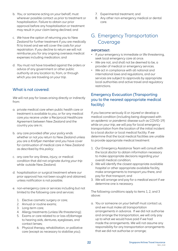- b. *You*, or someone acting on *your* behalf, must wherever possible contact us prior to treatment or hospitalisation. Failure to obtain our prior approval before any hospitalisation or treatment may result in *your* claim being declined; and
- c. *We* have the option of returning *you* to New Zealand for further treatment if *you* are medically fit to travel and *we* will cover the costs for *your* repatriation. If *you* decline to return *we* will not reimburse *you* for any ongoing overseas medical expenses including medication; and
- d. *You* must not have travelled against the orders or advice of any government or other public authority at any location to, from, or through which *you* are traveling on *your trip*.

#### What is not covered:

*We* will not pay for losses arising directly or indirectly from:

- a. private medical care when public health care or treatment is available to *you*, or for any medical care *you* receive under a Reciprocal Healthcare Agreement between New Zealand and the country *you* are in;
- b. any care provided after *your policy* ends whether or not *you* return to New Zealand unless *you* are a *Krisflyer member* and *you* have cover for continuation of medical care in New Zealand as described by this *policy*;
- c. any care for any illness, *injury*, or medical condition that did not originate during *your trip* while outside New Zealand;
- d. hospitalisation or surgical treatment where *our* prior approval has not been sought and obtained, unless notification is not possible;
- e. non-emergency care or services including but not limited to the following care and services:
	- 1. Elective cosmetic surgery or care;
	- 2. Annual or routine exams;
	- 3. Long-term care;
	- 4. Allergy treatments (unless life threatening);
	- 5. Exams or care related to or loss of/damage to hearing aids, dentures, eyeglasses, and contact lenses;
	- 6. Physical therapy, rehabilitation, or palliative care (except as necessary to stabilise *you*);
- 7. Experimental treatment; and
- 8. Any other non-emergency medical or dental care.
- G. Emergency Transportation Coverage

#### **IMPORTANT:**

- If *your* emergency is immediate or life threatening, seek local emergency care at once.
- *We* are not, and shall not be deemed to be, a provider of medical or emergency services.
- *We* act in compliance with all national and international laws and regulations, and *our* services are subject to approvals by appropriate local authorities and active travel and regulatory restrictions.

#### Emergency Evacuation (Transporting you to the nearest appropriate medical facility)

If *you* become seriously ill or *injured* or develop a medical condition (including being diagnosed with an *epidemic* or *pandemic* disease such as COVID-19) while on *your trip*, *we* will pay for local emergency transportation from the location of the initial incident to a local *doctor* or local medical facility. If *we* determine that the local medical facilities are unable to provide appropriate medical treatment:

- 1. *Our* Emergency Assistance Team will consult with the local *doctor* to obtain information necessary to make appropriate decisions regarding *your* overall medical condition;
- 2. *We* will identify the closest appropriate available *hospital* or other appropriate available facility, make arrangements to transport *you* there, and pay for that transport; and
- 3. *We* will arrange and pay for a *medical escort* if *we* determine one is necessary.

The following conditions apply to items 1, 2, and 3 above:

a. *You* or someone on *your* behalf must contact *us*, and *we* must make all transportation arrangements in advance. If *we* did not authorise and arrange the transportation, *we* will only pay up to what *we* would have paid if *we* had made the arrangements. *We* will not assume any responsibility for any transportation arrangements that *we* did not authorise or arrange;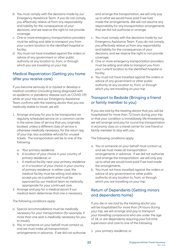- b. *You* must comply with the decisions made by *our* Emergency Assistance Team. If *you* do not comply, *you* effectively relieve *us* from any responsibility and liability for the consequences of *your* decisions, and *we* reserve the right to not provide coverage;
- c. One or more emergency transportation providers must be willing and able to transport *you* from *your* current location to the identified *hospital* or facility;
- d. *You* must not have travelled against the orders or advice of any government or other public authority at any location to, from, or through which *you* are travelling on *your trip*.

#### Medical Repatriation (Getting you home after you receive care)

If *you* become seriously ill or *injured* or develop a medical condition (including being diagnosed with an *epidemic* or *pandemic* disease such as COVID-19) while on *your trip* and *our* Emergency Assistance Team confirms with the treating *doctor* that *you* are medically stable to travel, *we* will:

- 1. Arrange and pay for *you* to be transported via regularly scheduled service on a common carrier in the same class of service that *you* originally booked, unless a different class of service is otherwise *medically necessary*, for the return leg of *your trip*, less available *refunds* for unused tickets. The transportation will be to one of the following:
	- a. *Your primary residence*;
	- b. A location of *your* choice in *your* country of *primary residence*; or
	- c. A medical facility near *your primary residence* or in a location of *your* choice in *your* country of *primary residence*. In either case, the medical facility must be willing and able to accept *you* as a patient and must be approved by *our* medical team as medically appropriate for *your* continued care.
- 2. Arrange and pay for a *medical escort* if *our* medical team determines that one is necessary.

The following conditions apply:

- a. Special *accommodations* must be *medically necessary* for *your* transportation (for example, if more than one seat is *medically necessary* for *you* to travel);
- b. *You* or someone on *your* behalf must contact *us*, and *we* must make all transportation arrangements in advance. If *we* did not authorise

and arrange the transportation, *we* will only pay up to what *we* would have paid if *we* had made the arrangements. *We* will not assume any responsibility for any transportation arrangements that *we* did not authorise or arrange;

- c. *You* must comply with the decisions made by *our* Emergency Assistance Team. If *you* do not comply, *you* effectively relieve *us* from any responsibility and liability for the consequences of *your* decisions, and *we* reserve the right to not provide coverage;
- d. One or more emergency transportation providers must be willing and able to transport *you* from *your* current location to the identified *hospital* or facility;
- e. *You* must not have travelled against the orders or advice of any government or other public authority at any location to, from, or through which *you* are travelling on *your trip*.

#### Transport to Bedside (Bringing a friend or family member to you)

If *you* are told by the treating *doctor* that *you* will be hospitalised for more than 72 hours during *your trip* or that *your* condition is immediately life-threatening, *we* will arrange and pay for round-trip transportation in economy class on a *travel carrier* for one friend or *family member* to stay with *you*.

The following conditions apply:

- a. *You* or someone on *your* behalf must contact *us*, and *we* must make all transportation arrangements in advance. If *we* did not authorise and arrange the transportation, *we* will only pay up to what *we* would have paid if we had made the arrangements.
- b. *You* must not have travelled against the orders or advice of any government or other public authority at any location to, from, or through which *you* are travelling on *your trip*.

#### Return of Dependents (Getting minors and dependents home)

If *you* die or are told by the treating *doctor you* will be hospitalised for more than 24 hours during *your trip*, *we* will arrange and pay to transport *your travelling companions* who are under the age of 18, or are dependents requiring *your* full-time supervision and care to one of the following:

1. *your primary residence*; or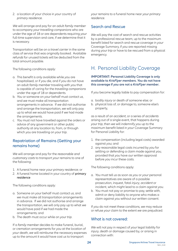2. a location of *your* choice in *your* country of *primary residence*.

*We* will arrange and pay for an adult *family member* to accompany *your travelling companions* who are under the age of 18 or are dependents requiring *your* full-time supervision and care, if *we* determine that it is necessary.

Transportation will be on a *travel carrier* in the same class of service that was originally booked. Available *refunds* for unused tickets will be deducted from the total amount payable.

The following conditions apply:

- a. This benefit is only available while *you* are hospitalised, or if *you* die, and if *you* do not have an adult *family member* traveling with *you* that is capable of caring for the *travelling companions* under the age of 18 or dependents.
- b. *You* or someone on *your* behalf must contact *us*, and *we* must make all transportation arrangements in advance. If *we* did not authorise and arrange the transportation, *we* will only pay up to what *we* would have paid if *we* had made the arrangements.
- c. *You* must not have travelled against the orders or advice of any government or other public authority at any location to, from, or through which *you* are travelling on *your trip*.

#### Repatriation of Remains (Getting your remains home)

*We* will arrange and pay for the *reasonable and customary costs* to transport *your* remains to one of the following:

- 1. A funeral home near *your primary residence*; or
- 2. A funeral home located in your country of primary residence

The following conditions apply:

- a. Someone on *your* behalf must contact *us*, and *we* must make all transportation arrangements in advance. If *we* did not authorise and arrange the transportation, *we* will only pay up to what *we* would have paid if *we* had made the arrangements; and
- b. The death must occur while on *your trip*.

If a *family member* decides to make funeral, burial, or cremation arrangements for *you* at the location of *your* death, *we* will reimburse the necessary expenses up to the amount it would have cost *us* to transport

*your* remains to a funeral home near *your primary residence*.

#### Search and Rescue

*We* will pay the cost of search and rescue activities by a professional rescue team, up to the maximum benefit listed for search and rescue coverage in *your* Coverage Summary, if *you* are reported missing during *your trip* or have to be rescued from a physical emergency.

## H. Personal Liability Coverage

#### **IMPORTANT: Personal Liability Coverage is only available to** *KrisFlyer members***.** *You* **do not have this coverage if** *you* **are not a** *KrisFlyer member***.**

If *you* become legally liable to pay compensation for:

- a. bodily *injury* or death of someone else; or
- b. physical loss of, or damage to, someone else's property,

as a result of an *accident*, or a series of *accidents* arising out of a single event, that happens during *your trip*, then *we* will indemnify *you* up to the maximum benefit listed in *your* Coverage Summary for Personal Liability for:

- 1. the compensation (including legal costs) awarded against *you*; and
- 2. any reasonable legal costs incurred by *you* for settling or defending a claim made against *you*, provided that *you* have *our* written approval before *you* incur these costs.

The following conditions apply:

- a. *You* must tell *us* as soon as *you* or *your* personal representatives are aware of a possible prosecution, inquest, fatal *injury*, *accident* or incident, which might lead to a claim against *you*.
- b. *You* must not pay or promise to pay, settle with, admit or deny liability to anyone who makes a claim against *you* without *our* written consent.

If *you* do not meet these conditions, *we* may reduce or refuse *your* claim to the extent *we* are prejudiced.

#### What is not covered:

*We* will not pay in respect of *your* legal liability for *injury*, death or damage caused by, or arising in connection with: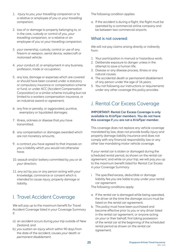- 1. *injury* to *you*, *your travelling companion* or to a relative or employee of *you* or *your travelling companion*;
- 2. loss of or damage to property belonging to, or in the care, custody or control of *you*, *your travelling companion*, or a relative or an employee of *you* or *your travelling companion*;
- 3. *your* ownership, custody, control or use of any firearm or *we*apon, aerial device, watercraft or motorised vehicle;
- 4. *your* conduct of, or employment in any business, profession, trade or occupation;
- 5. any loss, damage or expenses which are covered or should have been covered under a statutory or compulsory insurance or compensation scheme or fund, or under ACC (Accident Compensation Corporation) or a similar scheme including but not limited to a workers compensation insurance, or an industrial award or agreement;
- 6. any fine or penalty, or aggravated, punitive, exemplary or liquidated damages;
- 7. illness, sickness or disease that *you* have transmitted;
- 8. any compensation or damages awarded which are not monetary amounts;
- 9. a contract *you* have agreed to that imposes on *you* a liability which *you* would not otherwise have;
- 10. assault and/or battery committed by *you* or at *your* direction;
- 11. any act by *you* or any person acting with *your* knowledge, connivance or consent which is intended to cause *injury*, property damage or liability.

## I. Travel Accident Coverage

*We* will pay up to the maximum benefit for Travel Accident Coverage listed in *your* Coverage Summary if:

- a) an *accident* occurs during *your trip* outside of New Zealand; and
- b) *you* sustain an *injury* which within 90 days from the date of the *accident*, causes *your* death or *permanent disablement*.

The following condition applies:

a. If the *accident* is during a flight, the flight must be operated by a commercial airline company and be bet*we*en two commercial airports.

#### What is not covered:

*We* will not pay claims arising directly or indirectly from:

- 1. *Your* participation in manual or hazardous work;
- 2. Deliberate exposure to danger unless in the attempt to save a human life;
- 3. Disease or any disease process, illness or any natural causes;
- 4. The accidental death or *permanent disablement* of any person under the age of 16 years;
- 5. *You* not following *our* instructions or requirements under any other coverage this *policy* provides.

## J. Rental Car Excess Coverage

#### **IMPORTANT: Rental Car Excess Coverage is only available to** *KrisFlyer members***.** *You* **do not have this coverage if** *you* **are not a** *KrisFlyer member***.**

This coverage does not replace any vehicle coverage mandated by law, does not provide bodily *injury* and property damage liability insurance and does not comply with any financial responsibility law or any other law mandating motor vehicle coverage.

If *your rental car* is stolen or damaged during the scheduled rental period, as shown on the *rental car* agreement, and while on *your trip*, *we* will pay *you* up to the maximum benefit listed for Rental Car Excess in *your* Coverage Summary:

i. The specified excess, deductible or damage liability fee *you* are liable to pay under *your* rental car agreement.

The following conditions apply:

- a. If the *rental car* is damaged while being operated, the driver at the time the damage occurs must be listed on the *rental car* agreement;
- b. This *policy* must have been purchased and become effective prior to *you* or any driver listed in the *rental car* agreement, or anyone acting on *your* or their behalf, first taking possession of the *rental car* at the beginning of the scheduled rental period as shown on the *rental car* agreement;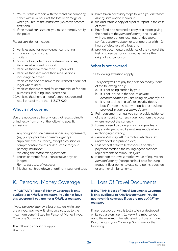- c. *You* must file a report with the *rental car* company, either within 24 hours of the loss or damage or when *you* return the *rental car* (whichever comes first); and
- d. If the *rental car* is stolen, *you* must promptly notify the police.

*Rental cars* do not include:

- 1. Vehicles used for peer-to-peer car sharing;
- 2. Trucks or moving vans;
- 3. Trailers;
- 4. Snowmobiles, kit-cars, or all-terrain vehicles;
- 5. Vehicles when used off-road;
- 6. Vehicles that are more than 10 years old;
- 7. Vehicles that seat more than nine persons, including the driver;
- 8. Vehicles that do not have to be licensed or are not legal where used;
- 9. Vehicles that are rented for commercial or for-hire purposes, including limousines; and
- 10.Vehicles that have a manufacturer's suggested retail price of more than NZ\$75,000.

#### What is not covered

*You* are not covered for any loss that results directly or indirectly from any of the following specific exclusions:

- 1. Any obligation *you* assume under any agreement, (e.g. *you* pay for the car rental agency's supplemental insurance), except a collision or comprehensive excess or deductible for *your* primary insurance;
- 2. Violating the *rental car agreement*;
- 3. Leases or rentals for 31 consecutive days or longer;
- 4. *Rental car's* loss of value; or
- 5. Mechanical breakdown or ordinary wear and tear.

## K. Personal Money Coverage

#### **IMPORTANT: Personal Money Coverage is only available to** *KrisFlyer members***.** *You* **do not have this coverage if** *you* **are not a** *KrisFlyer member***.**

If *your personal money* is lost or stolen while *you* are on *your trip*, *we* will reimburse *you*, up to the maximum benefit listed for Personal Money in *your* Coverage Summary.

The following conditions apply: *You* must:

- a. have taken necessary steps to keep *your personal money* safe and to recover it;
- b. file and retain a copy of a police report in the case of theft;
- c. have filed and retained a copy of a report giving the details of the *personal money* and its value with the appropriate local authorities, *travel carrier*, *accommodation* or tour operator within 24 hours of discovery of a loss; and
- d. provide documentary evidence of the value of the lost or stolen *personal money* as well as the original source for cash.

#### What is not covered

The following exclusions apply:

- 1. This *policy* will not pay for *personal money* if one of the following apply:
	- a. it is not being carried by *you*;
	- b. it is not locked in the secure private *accommodation you* are using on *your trip*; or
	- c. it is not locked in a safe or security deposit box, if a safe or security deposit box has been provided in *your accommodation*;
- 2. Reimbursement, unless *you* can provide evidence of the amount of currency *you* had, from the place where *you* got the currency;
- 3. Losses caused by a drop in exchange rates or any shortage caused by mistakes made when exchanging currency;
- 4. *Personal money* left in a motor vehicle or left unattended in a public place;
- 5. Loss or theft of travellers' cheques or other payment means if the issuing agent provides replacements or reimburses *you*;
- 6. More than the lowest market value of equivalent *personal money* (except cash), if paid for using frequent-flyer points, loyalty-card points, vouchers or another similar scheme.

## L. Loss Of Travel Documents

#### **IMPORTANT: Loss of Travel Documents Coverage is only available to** *KrisFlyer members***.** *You* **do not have this coverage if** *you* **are not a** *KrisFlyer member***.**

If *your* passport or visa is lost, stolen or destroyed while *you* are on *your trip*, *we* will reimburse *you*, up to the maximum benefit listed for Loss of Travel Documents in *your* Coverage Summary for the following: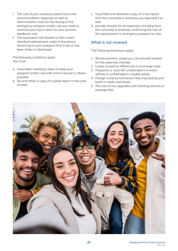- i. The cost of *your* necessary extra travel and *accommodation* expenses as well as administration costs for the issuing of the emergency passport and/or visa *you* need to continue *your trip* or return to *your primary residence*; and
- ii. The equivalent cost (based on the current standard replacement costs) of the period remaining on *your* passport that is lost or has been stolen or destroyed.

The following conditions apply: *You* must:

- a. have taken necessary steps to keep *your* passport and/or visa safe and to recover it, where possible;
- b. file and retain a copy of a police report in the case of theft;
- c. have filed and retained a copy of a loss report from the consulate or embassy *you* reported it to; and
- d. provide receipts for all expenses, including from the consulate or embassy confirming the cost of the replacement or emergency passport or visa.

#### What is not covered

The following exclusions apply:

- 1. Reimbursement, unless *you* can provide receipts for the expenses claimed;
- 2. Losses caused by differences in exchange rates;
- 3. Passports or visas left unattended in a motor vehicle or *unattended* in a *public place*;
- 4. Foreign currency transaction fees imposed by *your* bank or credit card issuer;
- 5. The cost of any upgrades, pre-checking services or postage fees.

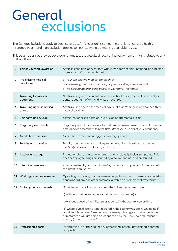## General exclusions

The General Exclusions apply to each coverage. An "exclusion" is something that is not covered by this insurance *policy*, and if an exclusion applies to *your* claim, no payment is available to *you*.

This *policy* does not provide coverage for any loss that results directly or indirectly from or that is related to any of the following:

| 1              | Things you were aware of             | Any loss, condition, or event that was known, foreseeable, intended, or expected<br>when your policy was purchased.                                                                                                                                                                                                                                                                                                                                                                                     |
|----------------|--------------------------------------|---------------------------------------------------------------------------------------------------------------------------------------------------------------------------------------------------------------------------------------------------------------------------------------------------------------------------------------------------------------------------------------------------------------------------------------------------------------------------------------------------------|
| $\overline{2}$ | Pre-existing medical<br>conditions   | a) Your pre-existing medical condition(s);<br>b) Pre-existing medical condition(s) of your travelling companion(s);<br>c) Pre-existing medical condition(s) of your family member(s).                                                                                                                                                                                                                                                                                                                   |
| 3              | Travelling for medical<br>treatment  | You travelling with the intention to receive health care, medical treatment, or<br>dental treatment of any kind while on your trip.                                                                                                                                                                                                                                                                                                                                                                     |
| 4              | Travelling against medical<br>advice | You travelling against the medical advice of a doctor regarding your health or<br>medical condition.                                                                                                                                                                                                                                                                                                                                                                                                    |
| 5              | Self-harm and suicide                | Your intentional self-harm or your suicide or attempted suicide.                                                                                                                                                                                                                                                                                                                                                                                                                                        |
| 6              | Pregnancy and childbirth             | Pregnancy or childbirth except for sudden unforeseen medical complications or<br>emergencies occurring within the first 20 weeks/140 days of your pregnancy.                                                                                                                                                                                                                                                                                                                                            |
| 7              | A child born overseas                | A child born overseas during your coverage period.                                                                                                                                                                                                                                                                                                                                                                                                                                                      |
| 8              | Fertility and abortion               | Fertility treatments or you undergoing an abortion where it is not deemed<br>medically necessary to do so by a doctor.                                                                                                                                                                                                                                                                                                                                                                                  |
| 9              | Alcohol and drugs                    | The use or abuse of alcohol or drugs, or any related physical symptoms. This<br>does not apply to drugs prescribed by a <i>doctor</i> and used as prescribed.                                                                                                                                                                                                                                                                                                                                           |
| 10             | Intent to cause loss                 | Acts committed by you, your travelling companion or your family member with<br>the intent to cause loss.                                                                                                                                                                                                                                                                                                                                                                                                |
| 11             | Working as a crew member             | Operating or working as a crew member (including as a trainee or learner/stu-<br>dent) aboard any aircraft or commercial vehicle or commercial watercraft.                                                                                                                                                                                                                                                                                                                                              |
| 12             | Motorcycles and mopeds               | You riding a moped or motorcycle in the following circumstances:<br>i.) without a helmet (whether as a driver or a passenger); or<br>ii.) without a valid driver's license as required in the country you are in; or<br>iii.) where a valid license is not required in the country you are in, you riding if<br>you do not have a full New Zealand license qualifying you to ride the moped<br>or motorcycle you are riding on, as specified by the New Zealand Transport<br>Agency (www.nzta.govt.nz). |
| 13             | Professional sports                  | Participating in or training for any professional or semi-professional sporting<br>competition.                                                                                                                                                                                                                                                                                                                                                                                                         |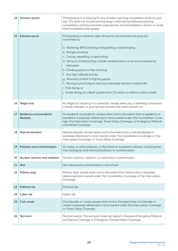| 14 | Amateur sports                     | Participating in or training for any amateur sporting competition while on your<br>trip. This does not include participating in informal recreational sporting<br>competitions and tournaments organized by accommodations, resorts, or cruise<br>lines to entertain their guests.                                                                                                                                                                                                                                                                                                                                  |
|----|------------------------------------|---------------------------------------------------------------------------------------------------------------------------------------------------------------------------------------------------------------------------------------------------------------------------------------------------------------------------------------------------------------------------------------------------------------------------------------------------------------------------------------------------------------------------------------------------------------------------------------------------------------------|
| 15 | Extreme sports                     | Participating in extreme, high-risk sports and activities including but<br>not limited to:<br>a. Skydiving, BASE jumping, hang gliding, or parachuting;<br>b. Bungee jumping;<br>c. Caving, rappelling, or spelunking;<br>d. Skiing or snowboarding outside marked trails or in an area accessed by<br>helicopter;<br>e. Climbing sports or free climbing;<br>f. Any high-altitude activity;<br>g. Personal combat or fighting sports;<br>h. Racing or practicing to race any motorized vehicle or watercraft;<br>i. Free diving; or<br>j. Scuba diving at a depth greater than 20 meters or without a dive master. |
| 16 | Illegal acts                       | An illegal act resulting in a conviction, except when you, a traveling companion,<br>a family member, or your service animal is the victim of such act.                                                                                                                                                                                                                                                                                                                                                                                                                                                             |
| 17 | Epidemics and pandemic<br>diseases | An epidemic or pandemic, except when and to the extent that an epidemic or<br>pandemic is expressly referenced in and covered under Trip Cancellation Cover-<br>age, Trip Interruption Coverage, Travel Delay Coverage, or Emergency Medical<br>and Dental Coverage.                                                                                                                                                                                                                                                                                                                                                |
| 18 | Natural disasters                  | Natural disaster, except when and to the extent that a natural disaster is<br>expressly referenced in and covered under Trip Cancellation Coverage, or Trip<br>Interruption Coverage, or Travel Delay Coverage.                                                                                                                                                                                                                                                                                                                                                                                                     |
| 19 | Pollution and contamination        | Air, water, or other pollution, or the threat of a pollutant release, including ther-<br>mal, biological, and chemical pollution or contamination.                                                                                                                                                                                                                                                                                                                                                                                                                                                                  |
| 20 | Nuclear reaction and radiation     | Nuclear reaction, radiation, or radioactive contamination.                                                                                                                                                                                                                                                                                                                                                                                                                                                                                                                                                          |
| 21 | War                                | War (declared or undeclared) or acts of war.                                                                                                                                                                                                                                                                                                                                                                                                                                                                                                                                                                        |
| 22 | Military duty                      | Military duty, except when and to the extent that military duty is expressly<br>referenced and covered under Trip Cancellation Coverage or Trip Interruption<br>Coverage.                                                                                                                                                                                                                                                                                                                                                                                                                                           |
| 23 | Political risk                     | Political risk.                                                                                                                                                                                                                                                                                                                                                                                                                                                                                                                                                                                                     |
| 24 | Cyber risk                         | Cyber risk.                                                                                                                                                                                                                                                                                                                                                                                                                                                                                                                                                                                                         |
| 25 | Civil unrest                       | Civil disorder or unrest, except when and to the extent that civil disorder or<br>unrest is expressly referenced in and covered under Trip Interruption Coverage<br>or Travel Delay Coverage.                                                                                                                                                                                                                                                                                                                                                                                                                       |
| 26 | Terrorism                          | Terrorist events. This exclusion does not apply to Overseas Emergency Medical<br>and Dental Coverage or Emergency Transportation Coverage.                                                                                                                                                                                                                                                                                                                                                                                                                                                                          |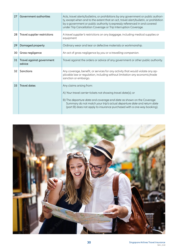| 27 | Government authorities              | Acts, travel alerts/bulletins, or prohibitions by any government or public authori-<br>ty, except when and to the extent that an act, travel alert/bulletin, or prohibition<br>by a government or public authority is expressly referenced in and covered<br>under Trip Cancellation Coverage or Trip Interruption Coverage. |
|----|-------------------------------------|------------------------------------------------------------------------------------------------------------------------------------------------------------------------------------------------------------------------------------------------------------------------------------------------------------------------------|
| 28 | Travel supplier restrictions        | A travel supplier's restrictions on any baggage, including medical supplies or<br>equipment                                                                                                                                                                                                                                  |
| 29 | Damaged property                    | Ordinary wear and tear or defective materials or workmanship.                                                                                                                                                                                                                                                                |
| 30 | Gross negligence                    | An act of gross negligence by you or a travelling companion.                                                                                                                                                                                                                                                                 |
| 31 | Travel against government<br>advice | Travel against the orders or advice of any government or other public authority.                                                                                                                                                                                                                                             |
| 32 | Sanctions                           | Any coverage, benefit, or services for any activity that would violate any ap-<br>plicable law or regulation, including without limitation any economic/trade<br>sanction or embargo.                                                                                                                                        |
| 33 | <b>Travel dates</b>                 | Any claims arising from:<br>A) Your travel carrier tickets not showing travel date(s); or<br>B) The departure date and coverage end date as shown on the Coverage<br>Summary do not match your trip's actual departure date and return date<br>(part B) does not apply to insurance purchased with a one-way booking).       |

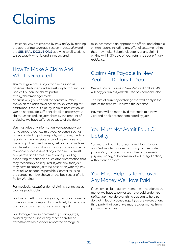## Claims

First check *you* are covered by *your policy* by reading the appropriate coverage section in this *policy* and the **GENERAL EXCLUSIONS** applying to all sections to see exactly what is, and is not covered.

## How To Make A Claim And What Is Required

*You* must give notice of *your* claim as soon as possible. The fastest and easiest way to make a claim is to visit *our* online claims portal: https://claimmanager.co.nz

Alternatively, *you* can call the contact number shown on the back cover of this Policy Wording for assistance. If there is a delay in claim notification, or *you* do not provide sufficient detail to process *your* claim, *we* can reduce *your* claim by the amount of prejudice *we* have suffered because of the delay.

*You* must give any information *we* reasonably ask for to support *your* claim at *your* expense, such as but not limited to police reports, valuations, medical reports, original receipts or proof of purchase and ownership. If required *we* may ask *you* to provide *us* with translations into English of any such documents to enable *our* assessment of *your* claim. *You* must co-operate at all times in relation to providing supporting evidence and such other information that may reasonably be required. If *you* think that *you* may have to cancel *your trip* or shorten *your trip you* must tell *us* as soon as possible. Contact *us* using the contact number shown on the back cover of this Policy Wording.

For medical, *hospital* or dental claims, contact *us* as soon as practicable.

For loss or theft of *your baggage*, *personal money* or travel documents, report it immediately to the police and obtain a written notice of *your* report.

For damage or misplacement of *your baggage*, caused by the airline or any other operator or *accommodation* provider, report the damage or

misplacement to an appropriate official and obtain a written report, including any offer of settlement that they may make. Submit full details of any claim in writing within 30 days of *your* return to *your primary residence*.

## Claims Are Payable In New Zealand Dollars To You

*We* will pay all claims in New Zealand dollars. *We* will pay *you* unless *you* tell *us* to pay someone else.

The rate of currency exchange that will apply is the rate at the time *you* incurred the expense.

Payment will be made by direct credit to a New Zealand bank account nominated by *you*.

### You Must Not Admit Fault Or **Liability**

*You* must not admit that *you* are at fault, for any *accident*, incident or event causing a claim under *your policy*, and *you* must not offer or promise to pay any money, or become involved in legal action, without *our* approval.

## You Must Help Us To Recover Any Money We Have Paid

If *we* have a claim against someone in relation to the money *we* have to pay or *we* have paid under *your policy*, *you* must do everything *you* can to help *us* do that in legal proceedings. If *you* are aware of any third party that *you* or *we* may recover money from, *you* must inform *us*.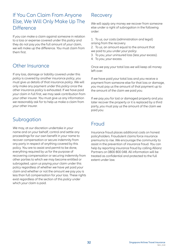## If You Can Claim From Anyone Else, We Will Only Make Up The **Difference**

If *you* can make a claim against someone in relation to a loss or expense covered under this *policy* and they do not pay *you* the full amount of *your* claim, *we* will make up the difference. *You* must claim from them first.

## Other Insurance

If any loss, damage or liability covered under this *policy* is covered by another insurance *policy*, *you* must give *us* details of that insurance *policy*. *We* will only make any payment under this *policy* once the other insurance *policy* is exhausted. If *we* have paid *your* claim in full first, *we* may seek contribution from *your* other insurer. *You* must give *us* any information *we* reasonably ask for to help *us* make a claim from *your* other insurer.

## **Subrogation**

*We* may, at *our* discretion undertake in *your* name and on *your* behalf, control and settle any proceedings for *our* own benefit in *your* name to recover compensation or secure indemnity from any party in respect of anything covered by this policy. *You* are to assist and permit to be done, everything required by *us* for the purpose of recovering compensation or securing indemnity from other parties to which *we* may become entitled or subrogated, upon *us* paying *your* claim under this policy regardless of whether *we* have yet paid *your* claim and whether or not the amount *we* pay *you* is less than full compensation for *your* loss. These rights exist regardless of the section of this *policy* under which *your* claim is paid.

## Recovery

*We* will apply any money *we* recover from someone else under a right of subrogation in the following order:

1. To *us*, *our* costs (administration and legal) arising from the recovery.

2. To *us*, an amount equal to the amount that *we* paid to *you* under *your policy*.

- 3. To *you*, *your* uninsured loss (less *your* excess).
- 4. To *you*, *your* excess.

Once *we* pay *your* total loss *we* will keep all money left over.

If *we* have paid *your* total loss and *you* receive a payment from someone else for that loss or damage, *you* must pay *us* the amount of that payment up to the amount of the claim *we* paid *you*.

If *we* pay *you* for lost or damaged property and *you* later recover the property or it is replaced by a third party, *you* must pay *us* the amount of the claim *we* paid *you*.

## Fraud

Insurance fraud places additional costs on honest policyholders. Fraudulent claims force insurance premiums to rise. *We* encourage the community to assist in the prevention of insurance fraud. *You* can help by reporting insurance fraud by calling Allianz Partners on 0800 800 048. All information will be treated as confidential and protected to the full extent under law.